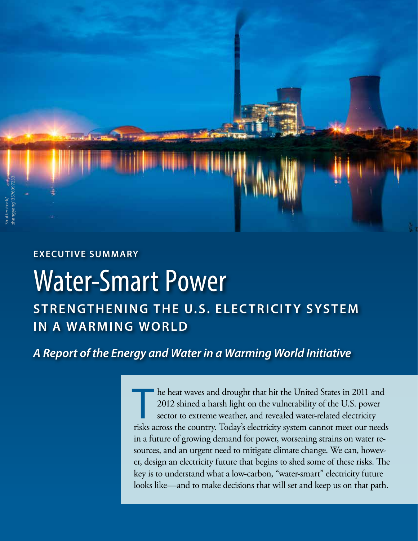

## **Executive Summary**

# Water-Smart Power **Strengthening the U.S. Electricity System in a Warming World**

# *A Report of the Energy and Water in a Warming World Initiative*

he heat waves and drought that hit the United States in 2011 and 2012 shined a harsh light on the vulnerability of the U.S. power sector to extreme weather, and revealed water-related electricity risks across the country. Today's electricity system cannot meet our needs in a future of growing demand for power, worsening strains on water resources, and an urgent need to mitigate climate change. We can, however, design an electricity future that begins to shed some of these risks. The key is to understand what a low-carbon, "water-smart" electricity future looks like—and to make decisions that will set and keep us on that path.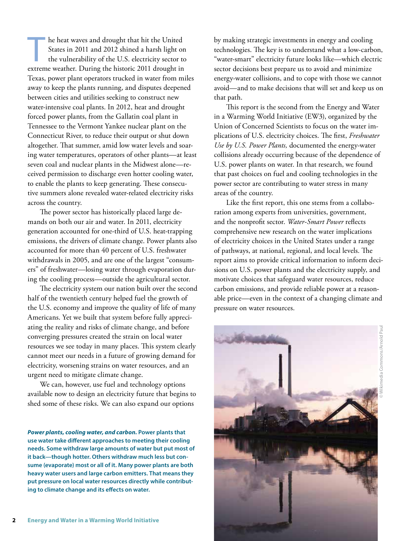The heat waves and drought that hit the United<br>States in 2011 and 2012 shined a harsh light or<br>the vulnerability of the U.S. electricity sector to States in 2011 and 2012 shined a harsh light on the vulnerability of the U.S. electricity sector to extreme weather. During the historic 2011 drought in Texas, power plant operators trucked in water from miles away to keep the plants running, and disputes deepened between cities and utilities seeking to construct new water-intensive coal plants. In 2012, heat and drought forced power plants, from the Gallatin coal plant in Tennessee to the Vermont Yankee nuclear plant on the Connecticut River, to reduce their output or shut down altogether. That summer, amid low water levels and soaring water temperatures, operators of other plants—at least seven coal and nuclear plants in the Midwest alone—received permission to discharge even hotter cooling water, to enable the plants to keep generating. These consecutive summers alone revealed water-related electricity risks across the country.

The power sector has historically placed large demands on both our air and water. In 2011, electricity generation accounted for one-third of U.S. heat-trapping emissions, the drivers of climate change. Power plants also accounted for more than 40 percent of U.S. freshwater withdrawals in 2005, and are one of the largest "consumers" of freshwater—losing water through evaporation during the cooling process—outside the agricultural sector.

The electricity system our nation built over the second half of the twentieth century helped fuel the growth of the U.S. economy and improve the quality of life of many Americans. Yet we built that system before fully appreciating the reality and risks of climate change, and before converging pressures created the strain on local water resources we see today in many places. This system clearly cannot meet our needs in a future of growing demand for electricity, worsening strains on water resources, and an urgent need to mitigate climate change.

We can, however, use fuel and technology options available now to design an electricity future that begins to shed some of these risks. We can also expand our options

*Power plants, cooling water, and carbon.* **Power plants that use water take different approaches to meeting their cooling needs. Some withdraw large amounts of water but put most of it back—though hotter. Others withdraw much less but consume (evaporate) most or all of it. Many power plants are both heavy water users and large carbon emitters. That means they put pressure on local water resources directly while contributing to climate change and its effects on water.**

by making strategic investments in energy and cooling technologies. The key is to understand what a low-carbon, "water-smart" electricity future looks like—which electric sector decisions best prepare us to avoid and minimize energy-water collisions, and to cope with those we cannot avoid—and to make decisions that will set and keep us on that path.

This report is the second from the Energy and Water in a Warming World Initiative (EW3), organized by the Union of Concerned Scientists to focus on the water implications of U.S. electricity choices. The first, *Freshwater Use by U.S. Power Plants,* documented the energy-water collisions already occurring because of the dependence of U.S. power plants on water. In that research, we found that past choices on fuel and cooling technologies in the power sector are contributing to water stress in many areas of the country.

Like the first report, this one stems from a collaboration among experts from universities, government, and the nonprofit sector. *Water-Smart Power* reflects comprehensive new research on the water implications of electricity choices in the United States under a range of pathways, at national, regional, and local levels. The report aims to provide critical information to inform decisions on U.S. power plants and the electricity supply, and motivate choices that safeguard water resources, reduce carbon emissions, and provide reliable power at a reasonable price—even in the context of a changing climate and pressure on water resources.

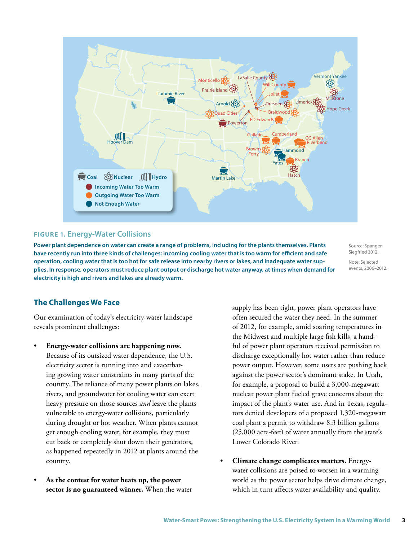

#### **Figure 1. Energy-Water Collisions**

**Power plant dependence on water can create a range of problems, including for the plants themselves. Plants have recently run into three kinds of challenges: incoming cooling water that is too warm for efficient and safe operation, cooling water that is too hot for safe release into nearby rivers or lakes, and inadequate water supplies. In response, operators must reduce plant output or discharge hot water anyway, at times when demand for electricity is high and rivers and lakes are already warm.**

Source: Spanger-Siegfried 2012.

Note: Selected events, 2006–2012.

#### **The Challenges We Face**

Our examination of today's electricity-water landscape reveals prominent challenges:

- **Energy-water collisions are happening now.** Because of its outsized water dependence, the U.S. electricity sector is running into and exacerbating growing water constraints in many parts of the country. The reliance of many power plants on lakes, rivers, and groundwater for cooling water can exert heavy pressure on those sources *and* leave the plants vulnerable to energy-water collisions, particularly during drought or hot weather. When plants cannot get enough cooling water, for example, they must cut back or completely shut down their generators, as happened repeatedly in 2012 at plants around the country.
- **As the contest for water heats up, the power sector is no guaranteed winner.** When the water

supply has been tight, power plant operators have often secured the water they need. In the summer of 2012, for example, amid soaring temperatures in the Midwest and multiple large fish kills, a handful of power plant operators received permission to discharge exceptionally hot water rather than reduce power output. However, some users are pushing back against the power sector's dominant stake. In Utah, for example, a proposal to build a 3,000-megawatt nuclear power plant fueled grave concerns about the impact of the plant's water use. And in Texas, regulators denied developers of a proposed 1,320-megawatt coal plant a permit to withdraw 8.3 billion gallons (25,000 acre-feet) of water annually from the state's Lower Colorado River.

• **Climate change complicates matters.** Energywater collisions are poised to worsen in a warming world as the power sector helps drive climate change, which in turn affects water availability and quality.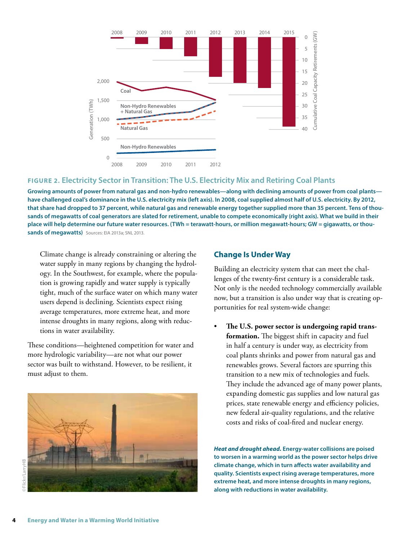

#### **Figure 2. Electricity Sector in Transition: The U.S. Electricity Mix and Retiring Coal Plants**

**Growing amounts of power from natural gas and non-hydro renewables—along with declining amounts of power from coal plants have challenged coal's dominance in the U.S. electricity mix (left axis). In 2008, coal supplied almost half of U.S. electricity. By 2012, that share had dropped to 37 percent, while natural gas and renewable energy together supplied more than 35 percent. Tens of thousands of megawatts of coal generators are slated for retirement, unable to compete economically (right axis). What we build in their place will help determine our future water resources. (TWh = terawatt-hours, or million megawatt-hours; GW = gigawatts, or thousands of megawatts)** Sources: EIA 2013a; SNL 2013.

Climate change is already constraining or altering the water supply in many regions by changing the hydrology. In the Southwest, for example, where the population is growing rapidly and water supply is typically tight, much of the surface water on which many water users depend is declining. Scientists expect rising average temperatures, more extreme heat, and more intense droughts in many regions, along with reductions in water availability.

These conditions—heightened competition for water and more hydrologic variability—are not what our power sector was built to withstand. However, to be resilient, it must adjust to them.



#### **Change Is Under Way**

Building an electricity system that can meet the challenges of the twenty-first century is a considerable task. Not only is the needed technology commercially available now, but a transition is also under way that is creating opportunities for real system-wide change:

• **The U.S. power sector is undergoing rapid transformation.** The biggest shift in capacity and fuel in half a century is under way, as electricity from coal plants shrinks and power from natural gas and renewables grows. Several factors are spurring this transition to a new mix of technologies and fuels. They include the advanced age of many power plants, expanding domestic gas supplies and low natural gas prices, state renewable energy and efficiency policies, new federal air-quality regulations, and the relative costs and risks of coal-fired and nuclear energy.

*Heat and drought ahead.* **Energy-water collisions are poised to worsen in a warming world as the power sector helps drive climate change, which in turn affects water availability and quality. Scientists expect rising average temperatures, more extreme heat, and more intense droughts in many regions, along with reductions in water availability.**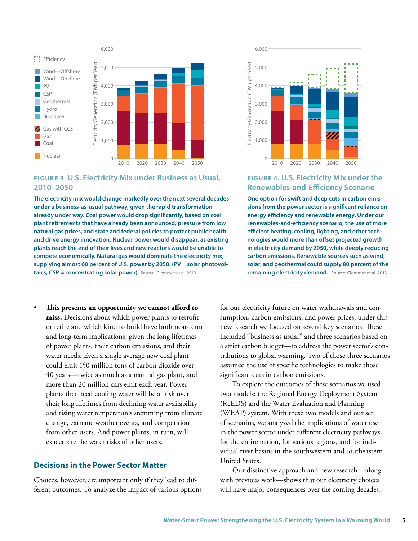

#### **Figure 3. U.S. Electricity Mix under Business as Usual, 2010–2050**

**The electricity mix would change markedly over the next several decades under a business-as-usual pathway, given the rapid transformation already under way. Coal power would drop significantly, based on coal plant retirements that have already been announced, pressure from low natural gas prices, and state and federal policies to protect public health and drive energy innovation. Nuclear power would disappear, as existing plants reach the end of their lives and new reactors would be unable to compete economically. Natural gas would dominate the electricity mix, supplying almost 60 percent of U.S. power by 2050. (PV = solar photovoltaics; CSP = concentrating solar power)** Source: Clemmer et al. 2013.

• **This presents an opportunity we cannot afford to miss.** Decisions about which power plants to retrofit or retire and which kind to build have both near-term and long-term implications, given the long lifetimes of power plants, their carbon emissions, and their water needs. Even a single average new coal plant could emit 150 million tons of carbon dioxide over 40 years—twice as much as a natural gas plant, and more than 20 million cars emit each year. Power plants that need cooling water will be at risk over their long lifetimes from declining water availability and rising water temperatures stemming from climate change, extreme weather events, and competition from other users. And power plants, in turn, will exacerbate the water risks of other users.

#### **Decisions in the Power Sector Matter**

Choices, however, are important only if they lead to different outcomes. To analyze the impact of various options



#### **Figure 4. U.S. Electricity Mix under the Renewables-and-Efficiency Scenario**

**One option for swift and deep cuts in carbon emissions from the power sector is significant reliance on energy efficiency and renewable energy. Under our renewables-and-efficiency scenario, the use of more efficient heating, cooling, lighting, and other technologies would more than offset projected growth in electricity demand by 2050, while deeply reducing carbon emissions. Renewable sources such as wind, solar, and geothermal could supply 80 percent of the remaining electricity demand.** Source: Clemmer et al. 2013.

for our electricity future on water withdrawals and consumption, carbon emissions, and power prices, under this new research we focused on several key scenarios. These included "business as usual" and three scenarios based on a strict carbon budget—to address the power sector's contributions to global warming. Two of those three scenarios assumed the use of specific technologies to make those significant cuts in carbon emissions.

To explore the outcomes of these scenarios we used two models: the Regional Energy Deployment System (ReEDS) and the Water Evaluation and Planning (WEAP) system. With these two models and our set of scenarios, we analyzed the implications of water use in the power sector under different electricity pathways for the entire nation, for various regions, and for individual river basins in the southwestern and southeastern United States.

Our distinctive approach and new research—along with previous work—shows that our electricity choices will have major consequences over the coming decades,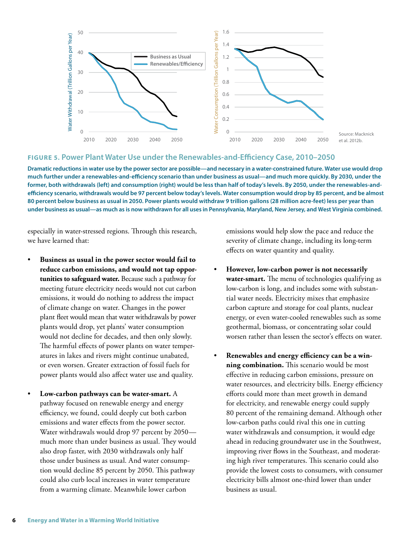

#### **Figure 5. Power Plant Water Use under the Renewables-and-Efficiency Case, 2010–2050**

**Dramatic reductions in water use by the power sector are possible—and necessary in a water-constrained future. Water use would drop much further under a renewables-and-efficiency scenario than under business as usual—and much more quickly. By 2030, under the former, both withdrawals (left) and consumption (right) would be less than half of today's levels. By 2050, under the renewables-andefficiency scenario, withdrawals would be 97 percent below today's levels. Water consumption would drop by 85 percent, and be almost 80 percent below business as usual in 2050. Power plants would withdraw 9 trillion gallons (28 million acre-feet) less per year than under business as usual—as much as is now withdrawn for all uses in Pennsylvania, Maryland, New Jersey, and West Virginia combined.**

especially in water-stressed regions. Through this research, we have learned that:

- **Business as usual in the power sector would fail to reduce carbon emissions, and would not tap opportunities to safeguard water.** Because such a pathway for meeting future electricity needs would not cut carbon emissions, it would do nothing to address the impact of climate change on water. Changes in the power plant fleet would mean that water withdrawals by power plants would drop, yet plants' water consumption would not decline for decades, and then only slowly. The harmful effects of power plants on water temperatures in lakes and rivers might continue unabated, or even worsen. Greater extraction of fossil fuels for power plants would also affect water use and quality.
- **Low-carbon pathways can be water-smart.** A pathway focused on renewable energy and energy efficiency, we found, could deeply cut both carbon emissions and water effects from the power sector. Water withdrawals would drop 97 percent by 2050 much more than under business as usual. They would also drop faster, with 2030 withdrawals only half those under business as usual. And water consumption would decline 85 percent by 2050. This pathway could also curb local increases in water temperature from a warming climate. Meanwhile lower carbon

emissions would help slow the pace and reduce the severity of climate change, including its long-term effects on water quantity and quality.

- **However, low-carbon power is not necessarily water-smart.** The menu of technologies qualifying as low-carbon is long, and includes some with substantial water needs. Electricity mixes that emphasize carbon capture and storage for coal plants, nuclear energy, or even water-cooled renewables such as some geothermal, biomass, or concentrating solar could worsen rather than lessen the sector's effects on water.
- **Renewables and energy efficiency can be a winning combination.** This scenario would be most effective in reducing carbon emissions, pressure on water resources, and electricity bills. Energy efficiency efforts could more than meet growth in demand for electricity, and renewable energy could supply 80 percent of the remaining demand. Although other low-carbon paths could rival this one in cutting water withdrawals and consumption, it would edge ahead in reducing groundwater use in the Southwest, improving river flows in the Southeast, and moderating high river temperatures. This scenario could also provide the lowest costs to consumers, with consumer electricity bills almost one-third lower than under business as usual.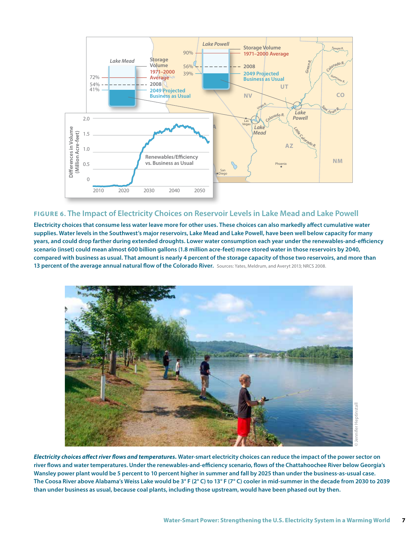

#### **Figure 6. The Impact of Electricity Choices on Reservoir Levels in Lake Mead and Lake Powell**

**Electricity choices that consume less water leave more for other uses. These choices can also markedly affect cumulative water supplies. Water levels in the Southwest's major reservoirs, Lake Mead and Lake Powell, have been well below capacity for many years, and could drop farther during extended droughts. Lower water consumption each year under the renewables-and-efficiency scenario (inset) could mean almost 600 billion gallons (1.8 million acre-feet) more stored water in those reservoirs by 2040, compared with business as usual. That amount is nearly 4 percent of the storage capacity of those two reservoirs, and more than**  13 percent of the average annual natural flow of the Colorado River. Sources: Yates, Meldrum, and Averyt 2013; NRCS 2008.



*Electricity choices affect river flows and temperatures.* **Water-smart electricity choices can reduce the impact of the power sector on river flows and water temperatures. Under the renewables-and-efficiency scenario, flows of the Chattahoochee River below Georgia's Wansley power plant would be 5 percent to 10 percent higher in summer and fall by 2025 than under the business-as-usual case. The Coosa River above Alabama's Weiss Lake would be 3° F (2° C) to 13° F (7° C) cooler in mid-summer in the decade from 2030 to 2039 than under business as usual, because coal plants, including those upstream, would have been phased out by then.**